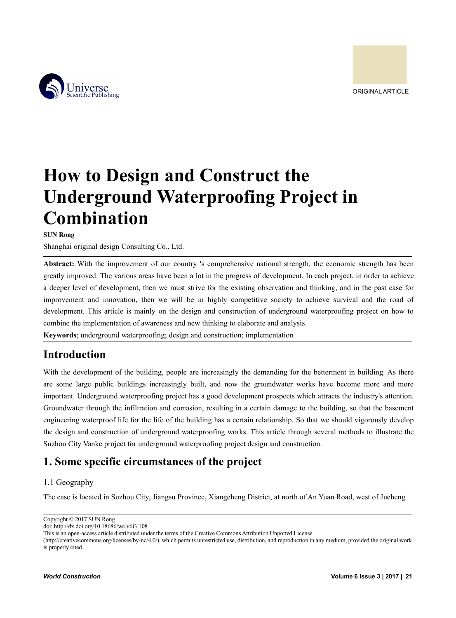

# **How to Design and Construct the Underground Waterproofing Project in Combination**

**SUN Rong**

Shanghai original design Consulting Co., Ltd.

**Abstract:** With the improvement of our country 's comprehensive national strength, the economic strength has been greatly improved. The various areas have been a lot in the progress of development. In each project, in order to achieve a deeper level of development, then we must strive for the existing observation and thinking, and in the past case for improvement and innovation, then we will be in highly competitive society to achieve survival and the road of development. This article is mainly on the design and construction of underground waterproofing project on how to combine the implementation of awareness and new thinking to elaborate and analysis.

**Keywords**; underground waterproofing; design and construction; implementation

### **Introduction**

With the development of the building, people are increasingly the demanding for the betterment in building. As there are some large public buildings increasingly built, and now the groundwater works have become more and more important. Underground waterproofing project has a good development prospects which attracts the industry's attention. Groundwater through the infiltration and corrosion, resulting in a certain damage to the building, so that the basement engineering waterproof life for the life of the building has a certain relationship. So that we should vigorously develop the design and construction of underground waterproofing works. This article through several methods to illustrate the Suzhou City Vanke project for underground waterproofing project design and construction.

## **1. Some specific circumstances of the project**

### 1.1 Geography

The case is located in Suzhou City, Jiangsu Province, Xiangcheng District, at north of An Yuan Road, west of Jucheng

Copyright © 2017 SUN Rong

doi: http://dx.doi.org/10.18686/wc.v6i3.108

This is an open-access article distributed under the terms of the Creative Commons Attribution Unported License

<sup>(</sup>http://creativecommons.org/licenses/by-nc/4.0/), which permits unrestricted use, distribution, and reproduction in any medium, provided the original work is properly cited.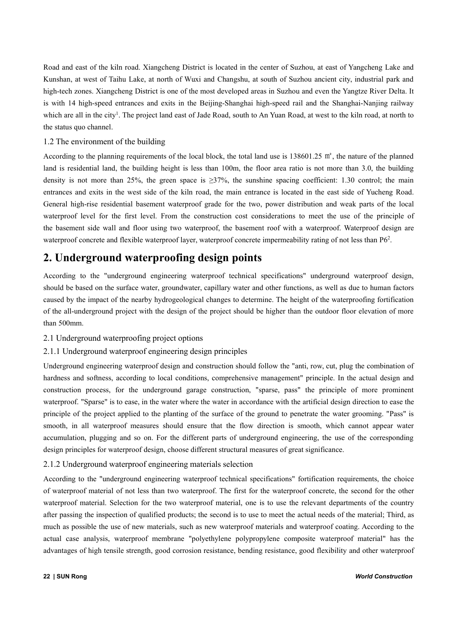Road and east of the kiln road. Xiangcheng District is located in the center of Suzhou, at east of Yangcheng Lake and Kunshan, at west of Taihu Lake, at north of Wuxi and Changshu, at south of Suzhou ancient city, industrial park and high-tech zones. Xiangcheng District is one of the most developed areas in Suzhou and even the Yangtze River Delta. It is with 14 high-speed entrances and exits in the Beijing-Shanghai high-speed rail and the Shanghai-Nanjing railway which are all in the city<sup>1</sup>. The project land east of Jade Road, south to An Yuan Road, at west to the kiln road, at north to the status quo channel.

#### 1.2 The environment of the building

According to the planning requirements of the local block, the total land use is 138601.25 ㎡, the nature of the planned land is residential land, the building height is less than 100m, the floor area ratio is not more than 3.0, the building density is not more than 25%, the green space is  $\geq$ 37%, the sunshine spacing coefficient: 1.30 control; the main entrances and exits in the west side of the kiln road, the main entrance islocated in the east side of Yucheng Road. General high-rise residential basement waterproof grade for the two, power distribution and weak parts of the local waterproof level for the first level. From the construction cost considerations to meet the use of the principle of the basement side wall and floor using two waterproof, the basement roof with a waterproof. Waterproof design are waterproof concrete and flexible waterproof layer, waterproof concrete impermeability rating of not less than P6<sup>2</sup>. .

## **2. Underground waterproofing design points**

According to the "underground engineering waterproof technical specifications" underground waterproof design, should be based on the surface water, groundwater, capillary water and other functions, as well as due to human factors caused by the impact of the nearby hydrogeological changes to determine. The height of the waterproofing fortification of the all-underground project with the design of the project should be higher than the outdoor floor elevation of more than 500mm.

### 2.1 Underground waterproofing project options

### 2.1.1 Underground waterproof engineering design principles

Underground engineering waterproof design and construction should follow the "anti, row, cut, plug the combination of hardness and softness, according to local conditions, comprehensive management" principle. In the actual design and construction process, for the underground garage construction, "sparse, pass" the principle of more prominent waterproof. "Sparse" is to ease, in the water where the water in accordance with the artificial design direction to ease the principle of the projectapplied to the planting of the surface of the ground to penetrate the water grooming. "Pass" is smooth, in all waterproof measures should ensure that the flow direction is smooth, which cannot appear water accumulation, plugging and so on. For the different parts of underground engineering, the use of the corresponding design principles for waterproof design, choose different structural measures of great significance.

#### 2.1.2 Underground waterproof engineering materials selection

According to the "underground engineering waterproof technical specifications" fortification requirements, the choice of waterproof material of not less than two waterproof. The first for the waterproof concrete, the second for the other waterproof material. Selection for the two waterproof material, one is to use the relevant departments of the country after passing the inspection of qualified products; the second is to use to meet the actual needs ofthe material; Third, as much as possible the use of new materials, such as new waterproof materials and waterproof coating. According to the actual case analysis, waterproof membrane "polyethylene polypropylene composite waterproof material" has the advantages of high tensile strength, good corrosion resistance, bending resistance, good flexibility and other waterproof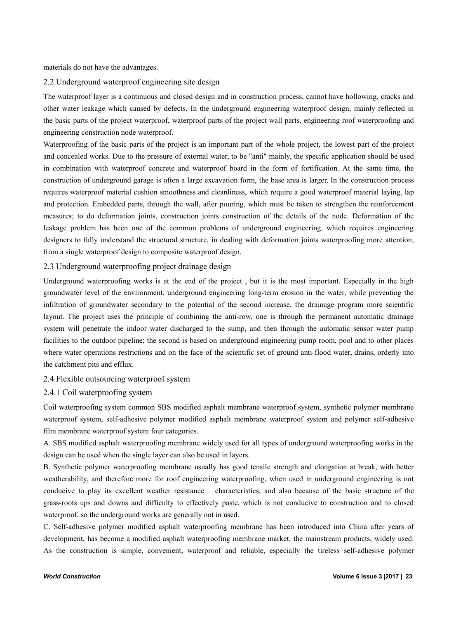materials do not have the advantages.

#### 2.2 Underground waterproof engineering site design

The waterproof layer is a continuous and closed design and in construction process, cannot have hollowing, cracks and other water leakage which caused by defects. In the underground engineering waterproof design, mainly reflected in the basic parts of the project waterproof, waterproof parts of the project wall parts, engineering roof waterproofing and engineering construction node waterproof.

Waterproofing of the basic parts of the project is an important part of the whole project, the lowest part of the project and concealed works. Due to the pressure of external water, to be "anti" mainly, the specific application should be used in combination with waterproof concrete and waterproof board in the form of fortification. At the same time, the construction of underground garage is often a large excavation form, the base area is larger. In the construction process requires waterproof material cushion smoothness and cleanliness, which require a good waterproof material laying, lap and protection.Embedded parts, through the wall, after pouring, which must be taken to strengthen the reinforcement measures; to do deformation joints, construction joints construction of the details of the node. Deformation of the leakage problem has been one of the common problems of underground engineering, which requires engineering designers to fully understand the structural structure, in dealing with deformation joints waterproofing more attention, from a single waterproof design to composite waterproof design.

#### 2.3 Underground waterproofing project drainage design

Underground waterproofing works is at the end of the project , but it is the most important. Especially in the high groundwater level of the environment, underground engineering long-term erosion in the water, while preventing the infiltration of groundwater secondary to the potential of the second increase, the drainage program more scientific layout. The project uses the principle of combining the anti-row, one is through the permanent automatic drainage system will penetrate the indoor water discharged to the sump, and then through the automatic sensor water pump facilities to the outdoor pipeline; the second is based on underground engineering pump room, pool and to other places where water operations restrictions and on the face of the scientific set of ground anti-flood water, drains, orderly into the catchment pits and efflux.

#### 2.4 Flexible outsourcing waterproof system

#### 2.4.1 Coil waterproofing system

Coil waterproofing system common SBS modified asphalt membrane waterproof system, synthetic polymer membrane waterproof system, self-adhesive polymer modified asphalt membrane waterproof system and polymer self-adhesive film membrane waterproof system four categories.

A. SBS modified asphalt waterproofing membrane widely used for all types of underground waterproofing works in the design can be used when the single layer can also be used in layers.

B. Synthetic polymer waterproofing membrane usually has good tensile strength and elongation at break, with better weatherability, and therefore more for roof engineering waterproofing, when used in underground engineering is not conducive to play its excellent weather resistance characteristics, and also because of the basic structure of the grass-roots ups and downs and difficulty to effectively paste, which is not conducive to construction and to closed waterproof, so the underground works are generally not in used.

C. Self-adhesive polymer modified asphalt waterproofing membrane has been introduced into China after years of development, has become a modified asphalt waterproofing membrane market, the mainstream products, widely used. As the construction is simple, convenient, waterproof and reliable, especially the tireless self-adhesive polymer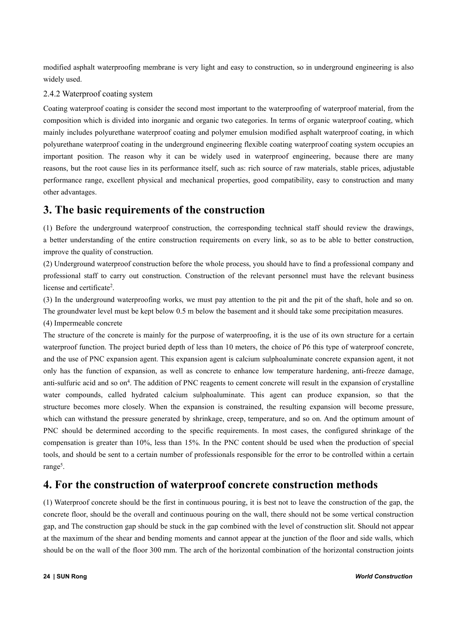modified asphalt waterproofing membrane is very light and easy to construction, so in underground engineering is also widely used.

#### 2.4.2 Waterproof coating system

Coating waterproof coating is consider the second most important to the waterproofing of waterproof material, from the composition which is divided into inorganic and organic two categories. In terms of organic waterproof coating, which mainly includes polyurethane waterproof coating and polymer emulsion modified asphalt waterproof coating, in which polyurethane waterproof coating in the underground engineering flexible coating waterproof coating system occupies an important position. The reason why it can be widely used in waterproof engineering, because there are many reasons, but the root cause lies in its performance itself, such as: rich source of raw materials, stable prices, adjustable performance range, excellent physical and mechanical properties, good compatibility, easy to construction and many other advantages.

## **3. The basic requirements of the construction**

(1) Before the underground waterproof construction, the corresponding technical staff should review the drawings, a better understanding of the entire construction requirements on every link, so as to be able to better construction, improve the quality of construction.

(2) Underground waterproof construction before the whole process, you should have to find a professional company and professional staff to carry out construction. Construction of the relevant personnel must have the relevant business license and certificate<sup>2</sup>. 2 .

(3) In the underground waterproofing works, we must pay attention to the pit and the pit of the shaft, hole and so on. The groundwater level must be kept below 0.5 m below the basement and it should take some precipitation measures.

(4) Impermeable concrete

The structure of the concrete is mainly for the purpose of waterproofing, it is the use of its own structure for a certain waterproof function. The project buried depth of less than 10 meters, the choice of P6 this type of waterproof concrete, and the use of PNC expansion agent. This expansion agent is calcium sulphoaluminate concrete expansion agent, it not only has the function of expansion, as well as concrete to enhance low temperature hardening, anti-freeze damage, anti-sulfuric acid and so on<sup>4</sup>. The addition of PNC reagents to cement concrete will result in the expansion of crystalline water compounds, called hydrated calcium sulphoaluminate. This agent can produce expansion, so that the structure becomes more closely. When the expansion is constrained, the resulting expansion will become pressure, which can withstand the pressure generated by shrinkage, creep, temperature, and so on. And the optimum amount of PNC should be determined according to the specific requirements. In most cases, the configured shrinkage of the compensation is greater than 10%, less than 15%. In the PNC content should be used when the production of special tools, and should be sent to a certain number of professionals responsible for the error to be controlled within a certain range<sup>5</sup>. 5 .

## **4. For the construction of waterproof concrete construction methods**

 $(1)$  Waterproof concrete should be the first in continuous pouring, it is best not to leave the construction of the gap, the concrete floor, should be the overalland continuous pouring on the wall, there should not be some vertical construction gap, and The construction gap should be stuck in the gap combined with the level of construction slit. Should not appear at the maximum of the shear and bending moments and cannot appear at the junction of the floor and side walls, which should be on the wall of the floor 300 mm. The arch of the horizontal combination of the horizontal construction joints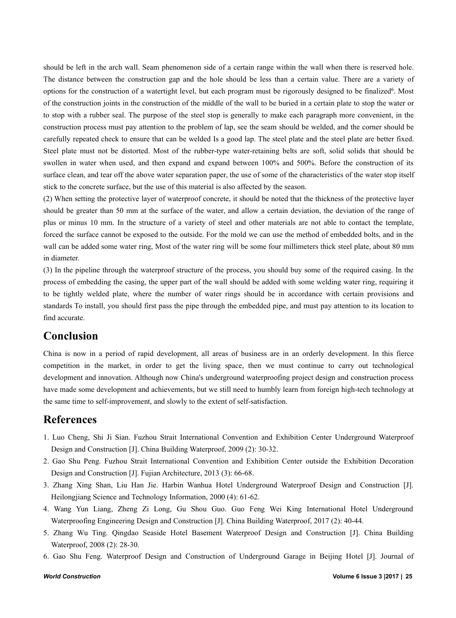should be left in the arch wall. Seam phenomenon side of a certain range within the wall when there is reserved hole. The distance between the construction gap and the hole should be less than a certain value. There are a variety of options for the construction of a watertight level, but each program must be rigorously designed to be finalized<sup>6</sup>. Most of the construction joints in the construction of the middle of the wall to be buried in a certain plate to stop the water or to stop with a rubber seal. The purpose of the steel stop is generally to make each paragraph more convenient, in the construction process must pay attention to the problem of lap, see the seam should be welded, and the corner should be carefully repeated check to ensure that can be welded Is a good lap. The steel plate and the steel plate are better fixed. Steel plate must not be distorted. Most of the rubber-type water-retaining belts are soft, solid solids that should be swollen in water when used, and then expand and expand between 100% and 500%. Before the construction of its surface clean, and tear offthe above water separation paper, the use of some of the characteristics of the water stop itself stick to the concrete surface, but the use of this material is also affected by the season.

(2) When setting the protective layer of waterproof concrete, it should be noted that the thickness ofthe protective layer should be greater than 50 mm at the surface of the water, and allow a certain deviation, the deviation of the range of plus or minus 10 mm. In the structure of a variety of steel and other materials are not able to contact the template, forced the surface cannot be exposed to the outside. For the mold we can use the method of embedded bolts, and in the wall can be added some water ring, Most of the water ring will be some four millimeters thick steel plate, about 80 mm in diameter.

(3) In the pipeline through the waterproof structure of the process,you should buy some of the required casing. In the process of embedding the casing, the upper part of the wall should be added with some welding water ring, requiring it to be tightly welded plate, where the number of water rings should be in accordance with certain provisions and standards To install, you should first pass the pipe through the embedded pipe, and must pay attention to its location to find accurate.

### **Conclusion**

China is now in a period of rapid development, all areas of business are in an orderly development. In this fierce competition in the market, in order to get the living space, then we mustcontinue to carry out technological development and innovation. Although now China's underground waterproofing project design and construction process have made some development and achievements, but we still need to humbly learn from foreign high-tech technology at the same time to self-improvement, and slowly to the extentof self-satisfaction.

### **References**

- 1. Luo Cheng, Shi Ji Sian. Fuzhou Strait International Convention and Exhibition Center Underground Waterproof Design and Construction [J]. China Building Waterproof, 2009 (2): 30-32.
- 2. Gao Shu Peng. Fuzhou Strait International Convention and Exhibition Center outside the Exhibition Decoration Design and Construction [J]. Fujian Architecture, 2013 (3): 66-68.
- 3. Zhang Xing Shan, Liu Han Jie. Harbin Wanhua Hotel Underground Waterproof Design and Construction [J]. Heilongjiang Science and Technology Information, 2000 (4): 61-62.
- 4. Wang Yun Liang, Zheng Zi Long, Gu Shou Guo. Guo Feng Wei King International Hotel Underground Waterproofing Engineering Design and Construction [J]. China Building Waterproof, 2017 (2): 40-44.
- 5. Zhang Wu Ting. Qingdao Seaside Hotel Basement Waterproof Design and Construction [J]. China Building Waterproof, 2008 (2): 28-30.
- 6. Gao Shu Feng. Waterproof Design and Construction of Underground Garage in Beijing Hotel [J]. Journal of